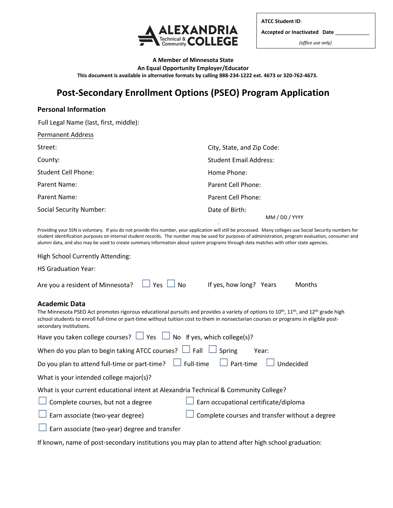

**ATCC Student ID**: **Accepted or Inactivated Date** \_\_\_\_\_\_\_\_\_\_\_\_ *(office use only)* 

**A Member of Minnesota State An Equal Opportunity Employer/Educator This document is available in alternative formats by calling 888-234-1222 ext. 4673 or 320-762-4673.** 

# **Post-Secondary Enrollment Options (PSEO) Program Application**

## **Personal Information**

Full Legal Name (last, first, middle):

| <b>Permanent Address</b>       |                                  |
|--------------------------------|----------------------------------|
| Street:                        | City, State, and Zip Code:       |
| County:                        | Student Email Address:           |
| <b>Student Cell Phone:</b>     | Home Phone:                      |
| Parent Name:                   | Parent Cell Phone:               |
| Parent Name:                   | Parent Cell Phone:               |
| <b>Social Security Number:</b> | Date of Birth:<br>MM / DD / YYYY |

Providing your SSN is voluntary. If you do not provide this number, your application will still be processed. Many colleges use Social Security numbers for student identification purposes on internal student records. The number may be used for purposes of administration, program evaluation, consumer and alumni data, and also may be used to create summary information about system programs through data matches with other state agencies.

.

| High School Currently Attending:                                                                                                                                                                                                                                                                                                                                   |  |  |  |  |  |
|--------------------------------------------------------------------------------------------------------------------------------------------------------------------------------------------------------------------------------------------------------------------------------------------------------------------------------------------------------------------|--|--|--|--|--|
| <b>HS Graduation Year:</b>                                                                                                                                                                                                                                                                                                                                         |  |  |  |  |  |
| Yes<br>$\Box$ No<br>If yes, how long? Years<br>Are you a resident of Minnesota?<br>Months                                                                                                                                                                                                                                                                          |  |  |  |  |  |
| <b>Academic Data</b><br>The Minnesota PSEO Act promotes rigorous educational pursuits and provides a variety of options to 10 <sup>th</sup> , 11 <sup>th</sup> , and 12 <sup>th</sup> grade high<br>school students to enroll full-time or part-time without tuition cost to them in nonsectarian courses or programs in eligible post-<br>secondary institutions. |  |  |  |  |  |
| Have you taken college courses? $\Box$ Yes $\Box$ No If yes, which college(s)?                                                                                                                                                                                                                                                                                     |  |  |  |  |  |
| When do you plan to begin taking ATCC courses? $\Box$ Fall $\Box$ Spring<br>Year:                                                                                                                                                                                                                                                                                  |  |  |  |  |  |
| Do you plan to attend full-time or part-time? $\Box$ Full-time $\Box$ Part-time<br>Undecided                                                                                                                                                                                                                                                                       |  |  |  |  |  |
| What is your intended college major(s)?                                                                                                                                                                                                                                                                                                                            |  |  |  |  |  |
| What is your current educational intent at Alexandria Technical & Community College?                                                                                                                                                                                                                                                                               |  |  |  |  |  |
| Complete courses, but not a degree<br>Earn occupational certificate/diploma                                                                                                                                                                                                                                                                                        |  |  |  |  |  |
| Earn associate (two-year degree)<br>Complete courses and transfer without a degree                                                                                                                                                                                                                                                                                 |  |  |  |  |  |
| Earn associate (two-year) degree and transfer                                                                                                                                                                                                                                                                                                                      |  |  |  |  |  |

If known, name of post-secondary institutions you may plan to attend after high school graduation: